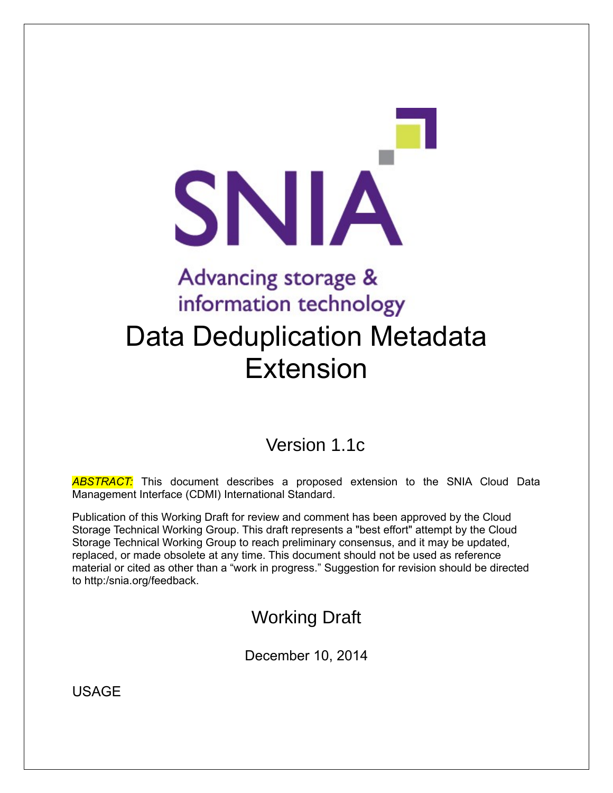# SNIA Advancing storage & information technology Data Deduplication Metadata Extension

## Version 1.1c

*ABSTRACT:* This document describes a proposed extension to the SNIA Cloud Data Management Interface (CDMI) International Standard.

Publication of this Working Draft for review and comment has been approved by the Cloud Storage Technical Working Group. This draft represents a "best effort" attempt by the Cloud Storage Technical Working Group to reach preliminary consensus, and it may be updated, replaced, or made obsolete at any time. This document should not be used as reference material or cited as other than a "work in progress." Suggestion for revision should be directed to http:/snia.org/feedback.

## Working Draft

December 10, 2014

USAGE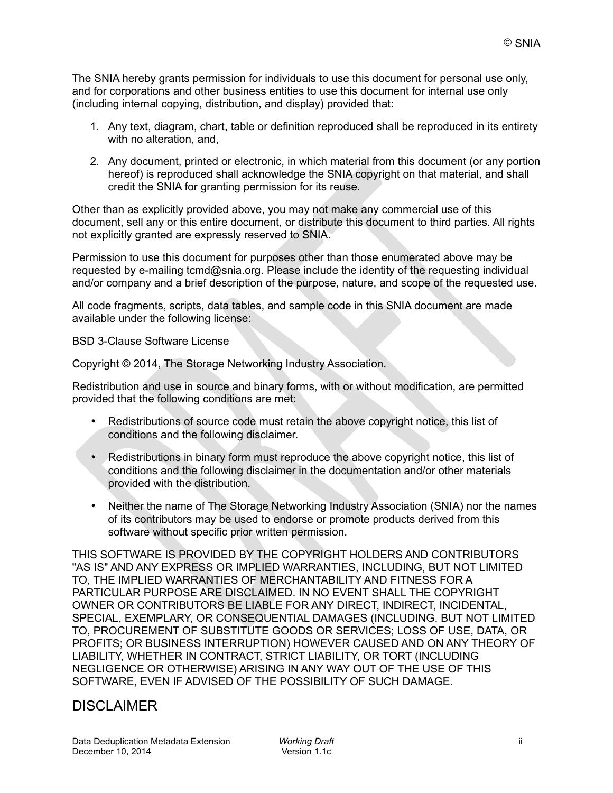The SNIA hereby grants permission for individuals to use this document for personal use only, and for corporations and other business entities to use this document for internal use only (including internal copying, distribution, and display) provided that:

- 1. Any text, diagram, chart, table or definition reproduced shall be reproduced in its entirety with no alteration, and,
- 2. Any document, printed or electronic, in which material from this document (or any portion hereof) is reproduced shall acknowledge the SNIA copyright on that material, and shall credit the SNIA for granting permission for its reuse.

Other than as explicitly provided above, you may not make any commercial use of this document, sell any or this entire document, or distribute this document to third parties. All rights not explicitly granted are expressly reserved to SNIA.

Permission to use this document for purposes other than those enumerated above may be requested by e-mailing tcmd@snia.org. Please include the identity of the requesting individual and/or company and a brief description of the purpose, nature, and scope of the requested use.

All code fragments, scripts, data tables, and sample code in this SNIA document are made available under the following license:

BSD 3-Clause Software License

Copyright © 2014, The Storage Networking Industry Association.

Redistribution and use in source and binary forms, with or without modification, are permitted provided that the following conditions are met:

- Redistributions of source code must retain the above copyright notice, this list of conditions and the following disclaimer.
- Redistributions in binary form must reproduce the above copyright notice, this list of conditions and the following disclaimer in the documentation and/or other materials provided with the distribution.
- Neither the name of The Storage Networking Industry Association (SNIA) nor the names of its contributors may be used to endorse or promote products derived from this software without specific prior written permission.

THIS SOFTWARE IS PROVIDED BY THE COPYRIGHT HOLDERS AND CONTRIBUTORS "AS IS" AND ANY EXPRESS OR IMPLIED WARRANTIES, INCLUDING, BUT NOT LIMITED TO, THE IMPLIED WARRANTIES OF MERCHANTABILITY AND FITNESS FOR A PARTICULAR PURPOSE ARE DISCLAIMED. IN NO EVENT SHALL THE COPYRIGHT OWNER OR CONTRIBUTORS BE LIABLE FOR ANY DIRECT, INDIRECT, INCIDENTAL, SPECIAL, EXEMPLARY, OR CONSEQUENTIAL DAMAGES (INCLUDING, BUT NOT LIMITED TO, PROCUREMENT OF SUBSTITUTE GOODS OR SERVICES; LOSS OF USE, DATA, OR PROFITS; OR BUSINESS INTERRUPTION) HOWEVER CAUSED AND ON ANY THEORY OF LIABILITY, WHETHER IN CONTRACT, STRICT LIABILITY, OR TORT (INCLUDING NEGLIGENCE OR OTHERWISE) ARISING IN ANY WAY OUT OF THE USE OF THIS SOFTWARE, EVEN IF ADVISED OF THE POSSIBILITY OF SUCH DAMAGE.

### DISCLAIMER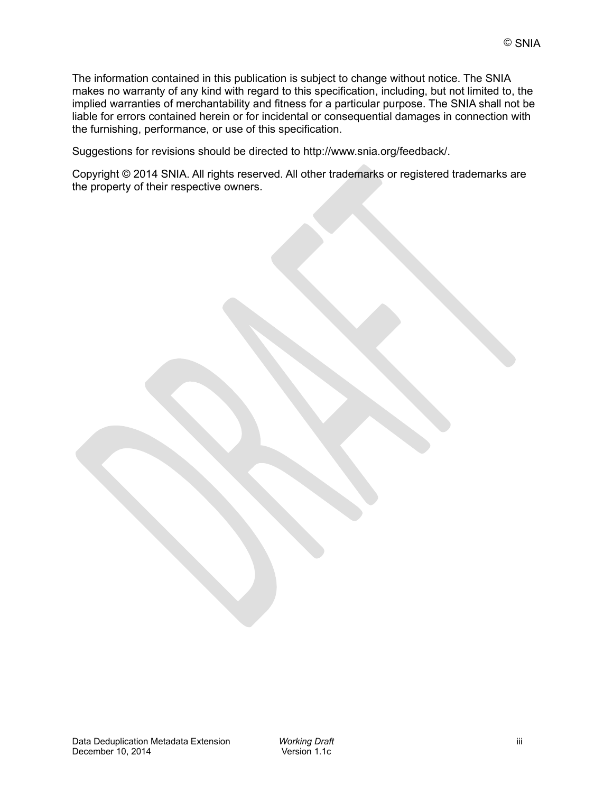The information contained in this publication is subject to change without notice. The SNIA makes no warranty of any kind with regard to this specification, including, but not limited to, the implied warranties of merchantability and fitness for a particular purpose. The SNIA shall not be liable for errors contained herein or for incidental or consequential damages in connection with the furnishing, performance, or use of this specification.

Suggestions for revisions should be directed to http://www.snia.org/feedback/.

Copyright © 2014 SNIA. All rights reserved. All other trademarks or registered trademarks are the property of their respective owners.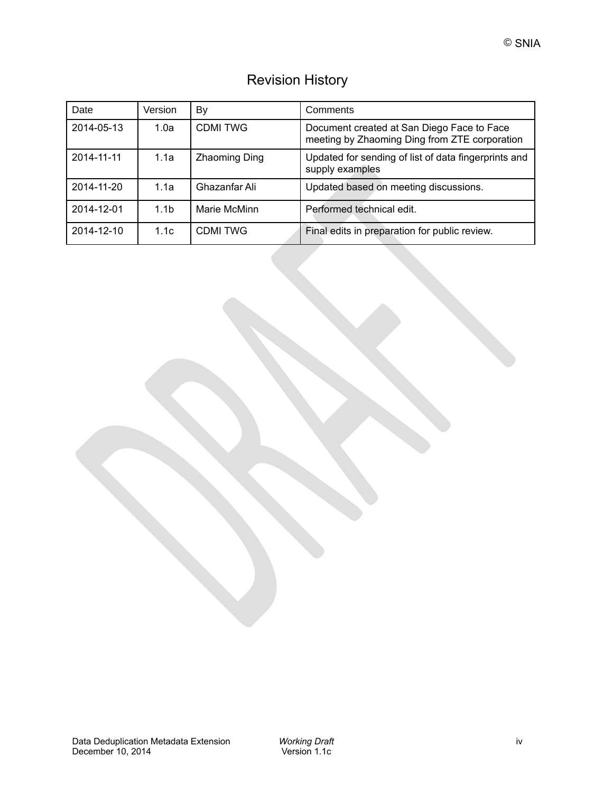| <b>Revision History</b> |  |
|-------------------------|--|
|                         |  |

| Date       | Version          | By             | Comments                                                                                    |
|------------|------------------|----------------|---------------------------------------------------------------------------------------------|
| 2014-05-13 | 1.0a             | <b>CDMITWG</b> | Document created at San Diego Face to Face<br>meeting by Zhaoming Ding from ZTE corporation |
| 2014-11-11 | 1.1a             | Zhaoming Ding  | Updated for sending of list of data fingerprints and<br>supply examples                     |
| 2014-11-20 | 1.1a             | Ghazanfar Ali  | Updated based on meeting discussions.                                                       |
| 2014-12-01 | 1.1 <sub>b</sub> | Marie McMinn   | Performed technical edit.                                                                   |
| 2014-12-10 | 1.1c             | <b>CDMITWG</b> | Final edits in preparation for public review.                                               |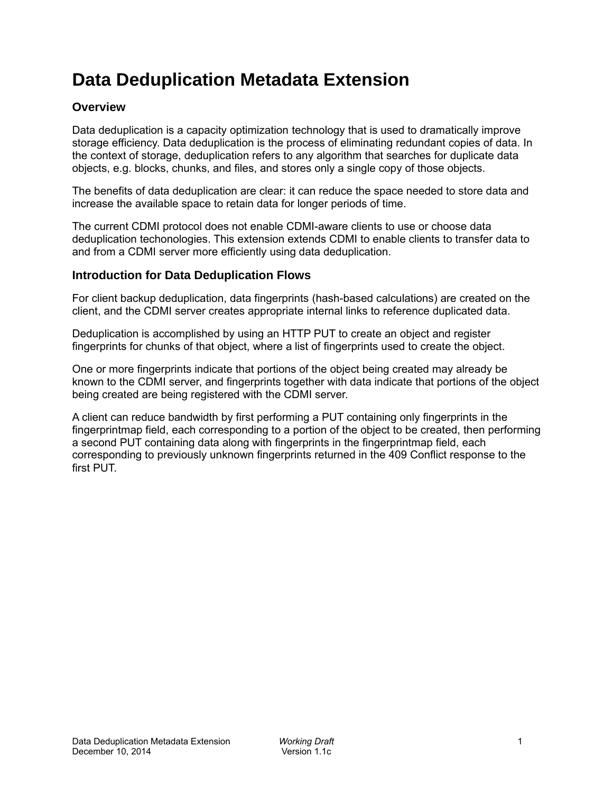## **Data Deduplication Metadata Extension**

#### **Overview**

Data deduplication is a capacity optimization technology that is used to dramatically improve storage efficiency. Data deduplication is the process of eliminating redundant copies of data. In the context of storage, deduplication refers to any algorithm that searches for duplicate data objects, e.g. blocks, chunks, and files, and stores only a single copy of those objects.

The benefits of data deduplication are clear: it can reduce the space needed to store data and increase the available space to retain data for longer periods of time.

The current CDMI protocol does not enable CDMI-aware clients to use or choose data deduplication techonologies. This extension extends CDMI to enable clients to transfer data to and from a CDMI server more efficiently using data deduplication.

#### **Introduction for Data Deduplication Flows**

For client backup deduplication, data fingerprints (hash-based calculations) are created on the client, and the CDMI server creates appropriate internal links to reference duplicated data.

Deduplication is accomplished by using an HTTP PUT to create an object and register fingerprints for chunks of that object, where a list of fingerprints used to create the object.

One or more fingerprints indicate that portions of the object being created may already be known to the CDMI server, and fingerprints together with data indicate that portions of the object being created are being registered with the CDMI server.

A client can reduce bandwidth by first performing a PUT containing only fingerprints in the fingerprintmap field, each corresponding to a portion of the object to be created, then performing a second PUT containing data along with fingerprints in the fingerprintmap field, each corresponding to previously unknown fingerprints returned in the 409 Conflict response to the first PUT.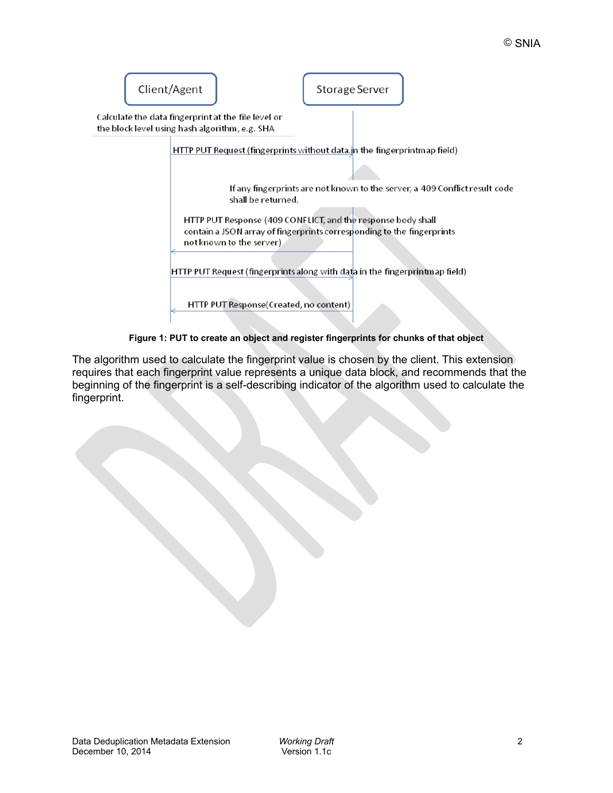

**Figure 1: PUT to create an object and register fingerprints for chunks of that object**

The algorithm used to calculate the fingerprint value is chosen by the client. This extension requires that each fingerprint value represents a unique data block, and recommends that the beginning of the fingerprint is a self-describing indicator of the algorithm used to calculate the fingerprint.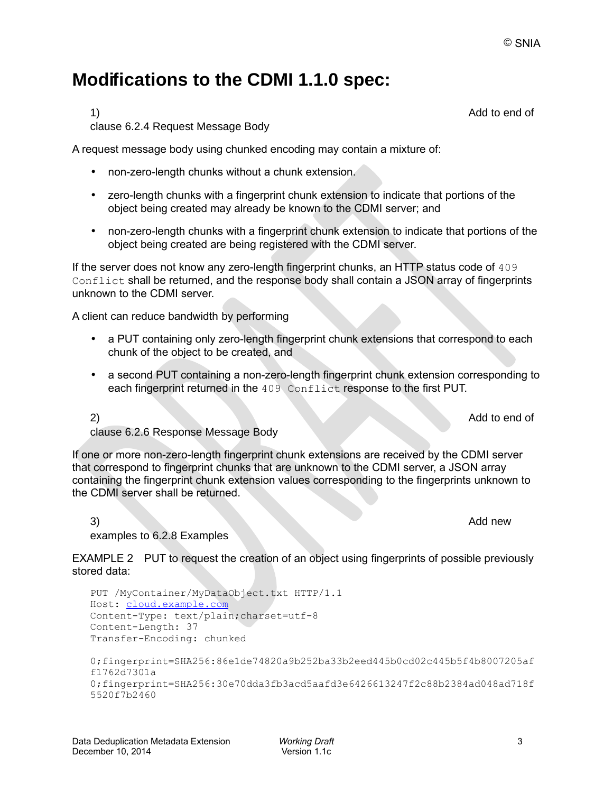## **Modifications to the CDMI 1.1.0 spec:**

clause 6.2.4 Request Message Body

A request message body using chunked encoding may contain a mixture of:

- non-zero-length chunks without a chunk extension.
- zero-length chunks with a fingerprint chunk extension to indicate that portions of the object being created may already be known to the CDMI server; and
- non-zero-length chunks with a fingerprint chunk extension to indicate that portions of the object being created are being registered with the CDMI server.

If the server does not know any zero-length fingerprint chunks, an HTTP status code of 409 Conflict shall be returned, and the response body shall contain a JSON array of fingerprints unknown to the CDMI server.

A client can reduce bandwidth by performing

- a PUT containing only zero-length fingerprint chunk extensions that correspond to each chunk of the object to be created, and
- a second PUT containing a non-zero-length fingerprint chunk extension corresponding to each fingerprint returned in the 409 Conflict response to the first PUT.

2) Add to end of

clause 6.2.6 Response Message Body

If one or more non-zero-length fingerprint chunk extensions are received by the CDMI server that correspond to fingerprint chunks that are unknown to the CDMI server, a JSON array containing the fingerprint chunk extension values corresponding to the fingerprints unknown to the CDMI server shall be returned.

3) Add new examples to 6.2.8 Examples

EXAMPLE 2 PUT to request the creation of an object using fingerprints of possible previously stored data:

```
PUT /MyContainer/MyDataObject.txt HTTP/1.1
Host: cloud.example.com
Content-Type: text/plain;charset=utf-8 
Content-Length: 37
Transfer-Encoding: chunked
0;fingerprint=SHA256:86e1de74820a9b252ba33b2eed445b0cd02c445b5f4b8007205af
f1762d7301a
0;fingerprint=SHA256:30e70dda3fb3acd5aafd3e6426613247f2c88b2384ad048ad718f
5520f7b2460
```
1) Add to end of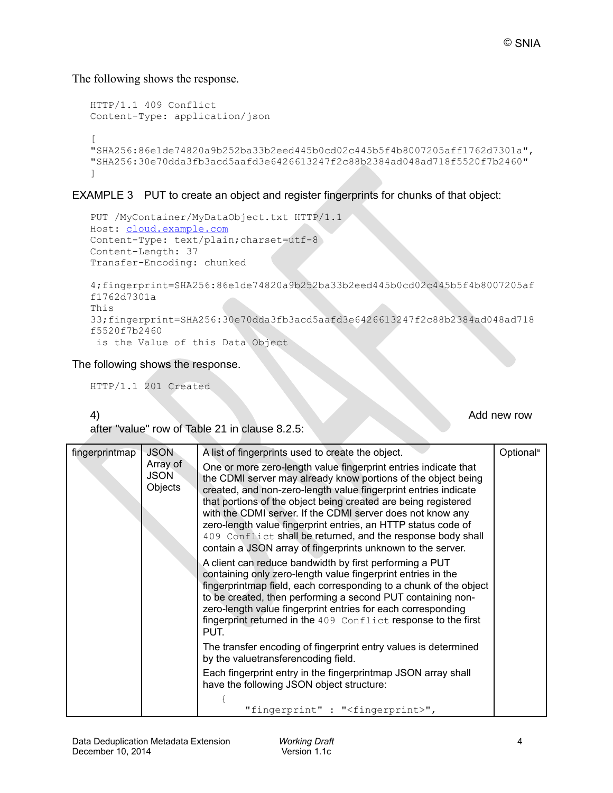The following shows the response.

```
HTTP/1.1 409 Conflict
Content-Type: application/json
\sqrt{2}"SHA256:86e1de74820a9b252ba33b2eed445b0cd02c445b5f4b8007205aff1762d7301a",
"SHA256:30e70dda3fb3acd5aafd3e6426613247f2c88b2384ad048ad718f5520f7b2460"
]
```
#### EXAMPLE 3 PUT to create an object and register fingerprints for chunks of that object:

```
PUT /MyContainer/MyDataObject.txt HTTP/1.1
Host: cloud.example.com
Content-Type: text/plain;charset=utf-8 
Content-Length: 37
Transfer-Encoding: chunked
4;fingerprint=SHA256:86e1de74820a9b252ba33b2eed445b0cd02c445b5f4b8007205af
f1762d7301a
This
33;fingerprint=SHA256:30e70dda3fb3acd5aafd3e6426613247f2c88b2384ad048ad718
f5520f7b2460
  is the Value of this Data Object
```
#### The following shows the response.

HTTP/1.1 201 Created

4) Add new row Add new row Add new row

after "value" row of Table 21 in clause 8.2.5:

| fingerprintmap | <b>JSON</b>                        | A list of fingerprints used to create the object.                                                                                                                                                                                                                                                                                                                                                                                                                                                                                  | Optional <sup>a</sup> |
|----------------|------------------------------------|------------------------------------------------------------------------------------------------------------------------------------------------------------------------------------------------------------------------------------------------------------------------------------------------------------------------------------------------------------------------------------------------------------------------------------------------------------------------------------------------------------------------------------|-----------------------|
|                | Array of<br><b>JSON</b><br>Objects | One or more zero-length value fingerprint entries indicate that<br>the CDMI server may already know portions of the object being<br>created, and non-zero-length value fingerprint entries indicate<br>that portions of the object being created are being registered<br>with the CDMI server. If the CDMI server does not know any<br>zero-length value fingerprint entries, an HTTP status code of<br>409 Conflict shall be returned, and the response body shall<br>contain a JSON array of fingerprints unknown to the server. |                       |
|                |                                    | A client can reduce bandwidth by first performing a PUT<br>containing only zero-length value fingerprint entries in the<br>fingerprintmap field, each corresponding to a chunk of the object<br>to be created, then performing a second PUT containing non-<br>zero-length value fingerprint entries for each corresponding<br>fingerprint returned in the 409 Conflict response to the first<br>PUT.                                                                                                                              |                       |
|                |                                    | The transfer encoding of fingerprint entry values is determined<br>by the valuetransferencoding field.                                                                                                                                                                                                                                                                                                                                                                                                                             |                       |
|                |                                    | Each fingerprint entry in the fingerprintmap JSON array shall<br>have the following JSON object structure:                                                                                                                                                                                                                                                                                                                                                                                                                         |                       |
|                |                                    | "fingerprint" : " <fingerprint>",</fingerprint>                                                                                                                                                                                                                                                                                                                                                                                                                                                                                    |                       |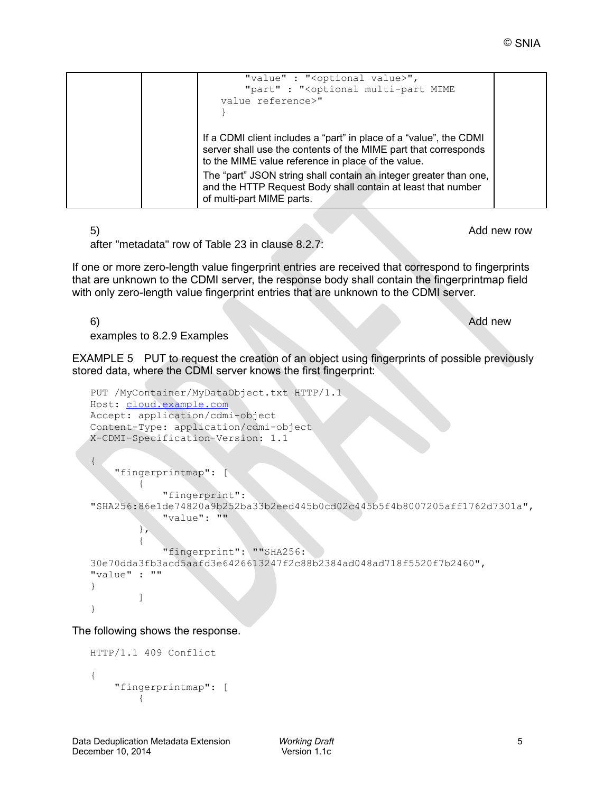| "value" : " <optional value="">",<br/>"part" : "<optional mime<br="" multi-part="">value reference&gt;"</optional></optional>                                                               |  |
|---------------------------------------------------------------------------------------------------------------------------------------------------------------------------------------------|--|
|                                                                                                                                                                                             |  |
| If a CDMI client includes a "part" in place of a "value", the CDMI<br>server shall use the contents of the MIME part that corresponds<br>to the MIME value reference in place of the value. |  |
| The "part" JSON string shall contain an integer greater than one,<br>and the HTTP Request Body shall contain at least that number<br>of multi-part MIME parts.                              |  |

5) Add new row Add new row Add new row Add new row Add new row Add new row Add new row Add new row Add new row  $\sim$ 

after "metadata" row of Table 23 in clause 8.2.7:

If one or more zero-length value fingerprint entries are received that correspond to fingerprints that are unknown to the CDMI server, the response body shall contain the fingerprintmap field with only zero-length value fingerprint entries that are unknown to the CDMI server.

6) and the contract of the contract of the contract of the contract of the contract of the contract of the contract of the contract of the contract of the contract of the contract of the contract of the contract of the con

examples to 8.2.9 Examples

EXAMPLE 5 PUT to request the creation of an object using fingerprints of possible previously stored data, where the CDMI server knows the first fingerprint:

```
PUT /MyContainer/MyDataObject.txt HTTP/1.1 
Host: cloud.example.com
Accept: application/cdmi-object 
Content-Type: application/cdmi-object 
X-CDMI-Specification-Version: 1.1
{
     "fingerprintmap": [
 {
             "fingerprint":
"SHA256:86e1de74820a9b252ba33b2eed445b0cd02c445b5f4b8007205aff1762d7301a",
             "value": ""
         },
 {
             "fingerprint": ""SHA256:
30e70dda3fb3acd5aafd3e6426613247f2c88b2384ad048ad718f5520f7b2460",
"value" : ""
}
 ]
}
```
The following shows the response.

```
HTTP/1.1 409 Conflict
{
    "fingerprintmap": [
 {
```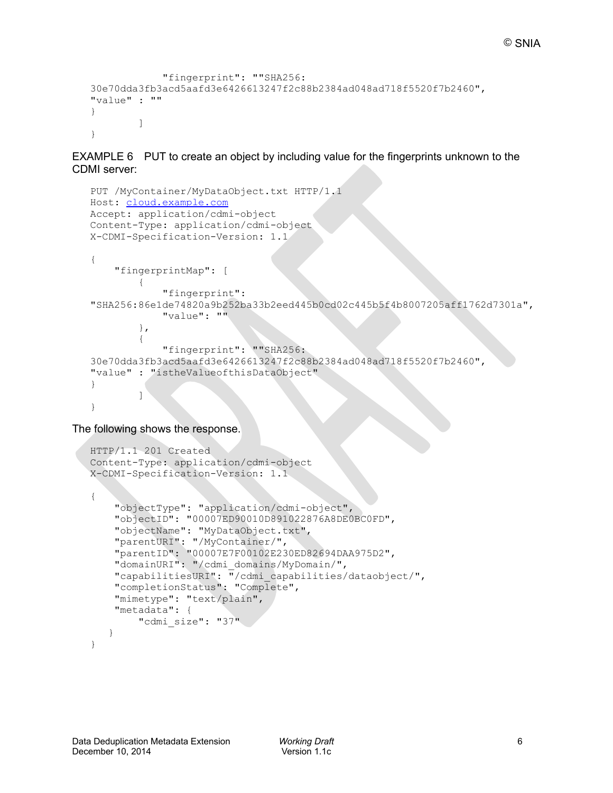```
 "fingerprint": ""SHA256:
30e70dda3fb3acd5aafd3e6426613247f2c88b2384ad048ad718f5520f7b2460",
"value" : ""
}
 ]
}
```
EXAMPLE 6 PUT to create an object by including value for the fingerprints unknown to the CDMI server:

```
PUT /MyContainer/MyDataObject.txt HTTP/1.1 
Host: cloud.example.com
Accept: application/cdmi-object 
Content-Type: application/cdmi-object 
X-CDMI-Specification-Version: 1.1
{
      "fingerprintMap": [
\left\{ \begin{array}{cc} 0 & 0 \\ 0 & 0 \end{array} \right. "fingerprint":
"SHA256:86e1de74820a9b252ba33b2eed445b0cd02c445b5f4b8007205aff1762d7301a",
                "value": ""
           },
\left\{ \begin{array}{cc} 0 & 0 \\ 0 & 0 \end{array} \right. "fingerprint": ""SHA256:
30e70dda3fb3acd5aafd3e6426613247f2c88b2384ad048ad718f5520f7b2460",
"value" : "istheValueofthisDataObject"
}
 ]
}
```
The following shows the response.

```
HTTP/1.1 201 Created
Content-Type: application/cdmi-object 
X-CDMI-Specification-Version: 1.1
{
     "objectType": "application/cdmi-object",
     "objectID": "00007ED90010D891022876A8DE0BC0FD",
     "objectName": "MyDataObject.txt",
     "parentURI": "/MyContainer/",
     "parentID": "00007E7F00102E230ED82694DAA975D2",
     "domainURI": "/cdmi_domains/MyDomain/",
     "capabilitiesURI": "/cdmi_capabilities/dataobject/",
     "completionStatus": "Complete",
     "mimetype": "text/plain",
     "metadata": {
         "cdmi_size": "37"
    }
}
```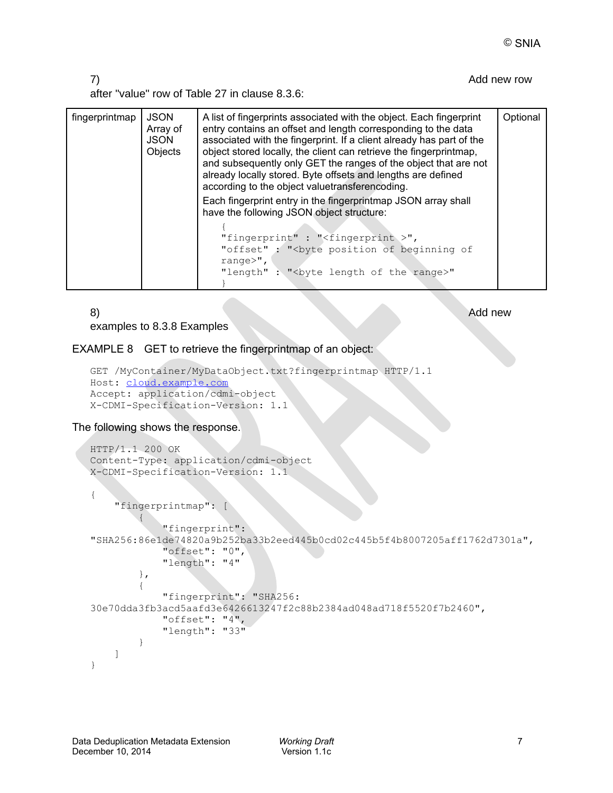#### 7) and the contract of the contract of the contract of the contract of the contract of the contract of the contract of the contract of the contract of the contract of the contract of the contract of the contract of the con

after "value" row of Table 27 in clause 8.3.6:

| fingerprintmap | <b>JSON</b><br>Array of<br>JSON<br>Objects | A list of fingerprints associated with the object. Each fingerprint<br>entry contains an offset and length corresponding to the data<br>associated with the fingerprint. If a client already has part of the<br>object stored locally, the client can retrieve the fingerprintmap,<br>and subsequently only GET the ranges of the object that are not<br>already locally stored. Byte offsets and lengths are defined<br>according to the object valuetransferencoding.<br>Each fingerprint entry in the fingerprintmap JSON array shall |  |
|----------------|--------------------------------------------|------------------------------------------------------------------------------------------------------------------------------------------------------------------------------------------------------------------------------------------------------------------------------------------------------------------------------------------------------------------------------------------------------------------------------------------------------------------------------------------------------------------------------------------|--|
|                |                                            | have the following JSON object structure:<br>"fingerprint" : " $\le$ fingerprint >",<br>"offset" : " <byte beginning="" of="" of<br="" position="">range<math>&gt;</math>",<br/>"length": "<br/>byte length of the range&gt;"</byte>                                                                                                                                                                                                                                                                                                     |  |

examples to 8.3.8 Examples

## 8) and the contract of the contract of the contract of the contract of the contract of the contract of the contract of the contract of the contract of the contract of the contract of the contract of the contract of the con

#### EXAMPLE 8 GET to retrieve the fingerprintmap of an object:

```
GET /MyContainer/MyDataObject.txt?fingerprintmap HTTP/1.1 
Host: cloud.example.com
Accept: application/cdmi-object 
X-CDMI-Specification-Version: 1.1
```
#### The following shows the response.

```
HTTP/1.1 200 OK 
Content-Type: application/cdmi-object 
X-CDMI-Specification-Version: 1.1
{
     "fingerprintmap": [
 {
             "fingerprint":
"SHA256:86e1de74820a9b252ba33b2eed445b0cd02c445b5f4b8007205aff1762d7301a",
             "offset": "0",
             "length": "4"
         },
 {
             "fingerprint": "SHA256:
30e70dda3fb3acd5aafd3e6426613247f2c88b2384ad048ad718f5520f7b2460",
             "offset": "4",
             "length": "33"
 }
     ]
}
```